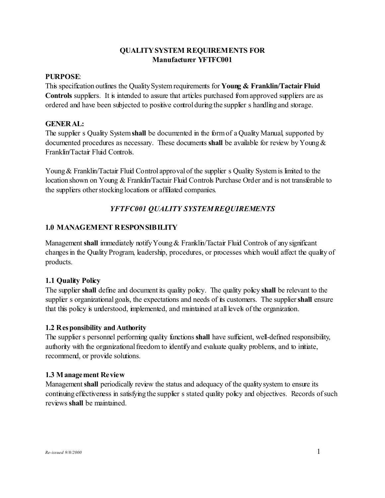### **PURPOSE**:

This specification outlines the Quality System requirements for **Young & Franklin/Tactair Fluid Controls** suppliers. It is intended to assure that articles purchased from approved suppliers are as ordered and have been subjected to positive control during the supplier s handling and storage.

### **GENERAL:**

The supplier s Quality System**shall** be documented in the form of a Quality Manual, supported by documented procedures as necessary. These documents **shall** be available for review by Young & Franklin/Tactair Fluid Controls.

Young & Franklin/Tactair Fluid Control approval of the supplier s Quality System is limited to the location shown on Young & Franklin/Tactair Fluid Controls Purchase Order and is not transferable to the suppliers other stocking locations or affiliated companies.

# *YFTFC001 QUALITY SYSTEM REQUIREMENTS*

## **1.0 MANAGEMENT RESPONSIBILITY**

Management **shall** immediately notify Young & Franklin/Tactair Fluid Controls of any significant changes in the Quality Program, leadership, procedures, or processes which would affect the quality of products.

## **1.1 Quality Policy**

The supplier **shall** define and document its quality policy. The quality policy **shall** be relevant to the supplier s organizational goals, the expectations and needs of its customers. The supplier shall ensure that this policy is understood, implemented, and maintained at all levels of the organization.

### **1.2 Responsibility and Authority**

The supplier s personnel performing quality functions **shall** have sufficient, well-defined responsibility, authority with the organizational freedom to identify and evaluate quality problems, and to initiate, recommend, or provide solutions.

### **1.3 Management Review**

Management **shall** periodically review the status and adequacy of the quality system to ensure its continuing effectiveness in satisfying the supplier s stated quality policy and objectives. Records of such reviews **shall** be maintained.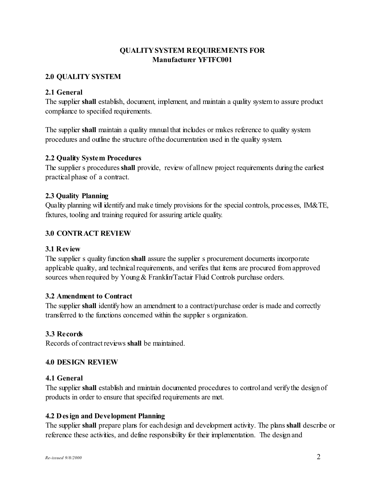## **2.0 QUALITY SYSTEM**

## **2.1 General**

The supplier **shall** establish, document, implement, and maintain a quality system to assure product compliance to specified requirements.

The supplier **shall** maintain a quality manual that includes or makes reference to quality system procedures and outline the structure of the documentation used in the quality system.

### **2.2 Quality System Procedures**

The supplier s procedures **shall** provide, review of all new project requirements during the earliest practical phase of a contract.

### **2.3 Quality Planning**

Quality planning will identify and make timely provisions for the special controls, processes, IM&TE, fixtures, tooling and training required for assuring article quality.

### **3.0 CONTRACT REVIEW**

### **3.1 Review**

The supplier s quality function **shall** assure the supplier s procurement documents incorporate applicable quality, and technical requirements, and verifies that items are procured from approved sources when required by Young & Franklin/Tactair Fluid Controls purchase orders.

### **3.2 Amendment to Contract**

The supplier **shall** identify how an amendment to a contract/purchase order is made and correctly transferred to the functions concerned within the supplier s organization.

## **3.3 Records**

Records of contract reviews **shall** be maintained.

### **4.0 DESIGN REVIEW**

### **4.1 General**

The supplier **shall** establish and maintain documented procedures to control and verify the design of products in order to ensure that specified requirements are met.

### **4.2 Design and Development Planning**

The supplier **shall** prepare plans for each design and development activity. The plans **shall** describe or reference these activities, and define responsibility for their implementation. The design and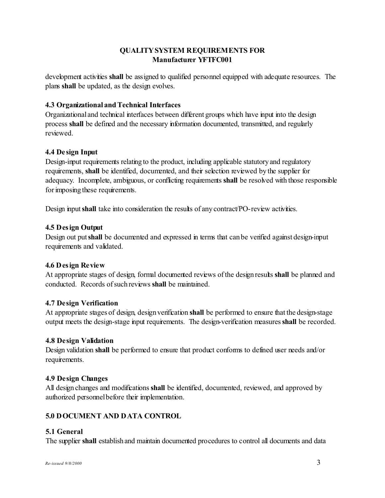development activities **shall** be assigned to qualified personnel equipped with adequate resources. The plans **shall** be updated, as the design evolves.

## **4.3 Organizational and Technical Interfaces**

Organizational and technical interfaces between different groups which have input into the design process **shall** be defined and the necessary information documented, transmitted, and regularly reviewed.

### **4.4 De sign Input**

Design-input requirements relating to the product, including applicable statutory and regulatory requirements, **shall** be identified, documented, and their selection reviewed by the supplier for adequacy. Incomplete, ambiguous, or conflicting requirements **shall** be resolved with those responsible for imposing these requirements.

Design input **shall** take into consideration the results of any contract/PO-review activities.

### **4.5 Design Output**

Design out put **shall** be documented and expressed in terms that can be verified against design-input requirements and validated.

### **4.6 Design Review**

At appropriate stages of design, formal documented reviews of the design results **shall** be planned and conducted. Records of such reviews **shall** be maintained.

### **4.7 Design Verification**

At appropriate stages of design, design verification **shall** be performed to ensure that the design-stage output meets the design-stage input requirements. The design-verification measures **shall** be recorded.

### **4.8 Design Validation**

Design validation **shall** be performed to ensure that product conforms to defined user needs and/or requirements.

### **4.9 Design Changes**

All design changes and modifications **shall** be identified, documented, reviewed, and approved by authorized personnel before their implementation.

## **5.0 DOCUMENT AND DATA CONTROL**

## **5.1 General**

The supplier **shall** establish and maintain documented procedures to control all documents and data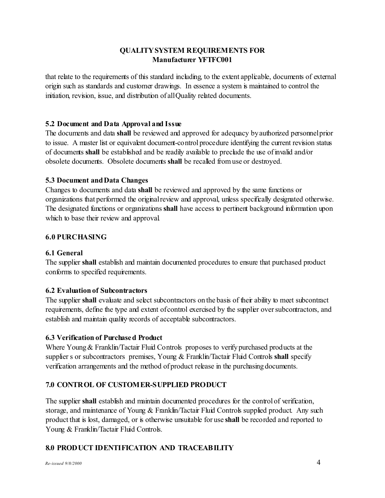that relate to the requirements of this standard including, to the extent applicable, documents of external origin such as standards and customer drawings. In essence a system is maintained to control the initiation, revision, issue, and distribution of all Quality related documents.

### **5.2 Document and Data Approval and Issue**

The documents and data **shall** be reviewed and approved for adequacy by authorized personnel prior to issue. A master list or equivalent document-control procedure identifying the current revision status of documents **shall** be established and be readily available to preclude the use of invalid and/or obsolete documents. Obsolete documents **shall** be recalled from use or destroyed.

### **5.3 Document and Data Changes**

Changes to documents and data **shall** be reviewed and approved by the same functions or organizations that performed the original review and approval, unless specifically designated otherwise. The designated functions or organizations **shall** have access to pertinent background information upon which to base their review and approval.

## **6.0 PURCHASING**

## **6.1 General**

The supplier **shall** establish and maintain documented procedures to ensure that purchased product conforms to specified requirements.

### **6.2 Evaluation of Subcontractors**

The supplier shall evaluate and select subcontractors on the basis of their ability to meet subcontract requirements, define the type and extent of control exercised by the supplier over subcontractors, and establish and maintain quality records of acceptable subcontractors.

## **6.3 Verification of Purchased Product**

Where Young & Franklin/Tactair Fluid Controls proposes to verify purchased products at the supplier s or subcontractors premises, Young & Franklin/Tactair Fluid Controls **shall** specify verification arrangements and the method of product release in the purchasing documents.

## **7.0 CONTROL OF CUSTOMER-SUPPLIED PRODUCT**

The supplier **shall** establish and maintain documented procedures for the control of verification, storage, and maintenance of Young & Franklin/Tactair Fluid Controls supplied product. Any such product that is lost, damaged, or is otherwise unsuitable for use **shall** be recorded and reported to Young & Franklin/Tactair Fluid Controls.

## **8.0 PRODUCT IDENTIFICATION AND TRACEABILITY**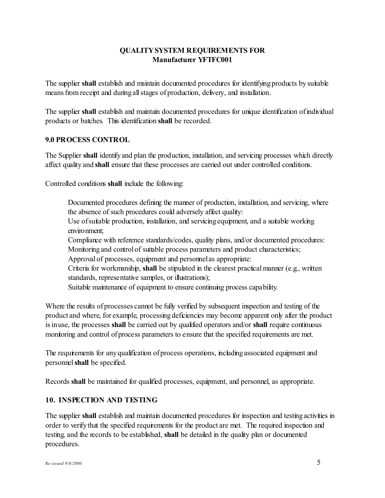The supplier shall establish and maintain documented procedures for identifying products by suitable means from receipt and during all stages of production, delivery, and installation.

The supplier shall establish and maintain documented procedures for unique identification of individual products or batches. This identification **shall** be recorded.

### **9.0 PROCESS CONTROL**

The Supplier shall identify and plan the production, installation, and servicing processes which directly affect quality and **shall** ensure that these processes are carried out under controlled conditions.

Controlled conditions **shall** include the following:

Documented procedures defining the manner of production, installation, and servicing, where the absence of such procedures could adversely affect quality: Use of suitable production, installation, and servicing equipment, and a suitable working environment; Compliance with reference standards/codes, quality plans, and/or documented procedures: Monitoring and control of suitable process parameters and product characteristics; Approval of processes, equipment and personnel as appropriate: Criteria for workmanship, shall be stipulated in the clearest practical manner (e.g., written standards, representative samples, or illustrations);

Suitable maintenance of equipment to ensure continuing process capability.

Where the results of processes cannot be fully verified by subsequent inspection and testing of the product and where, for example, processing deficiencies may become apparent only after the product is in use, the processes **shall** be carried out by qualified operators and/or **shall** require continuous monitoring and control of process parameters to ensure that the specified requirements are met.

The requirements for any qualification of process operations, including associated equipment and personnel**shall** be specified.

Records **shall** be maintained for qualified processes, equipment, and personnel, as appropriate.

## **10. INSPECTION AND TESTING**

The supplier **shall** establish and maintain documented procedures for inspection and testing activities in order to verify that the specified requirements for the product are met. The required inspection and testing, and the records to be established, **shall** be detailed in the quality plan or documented procedures.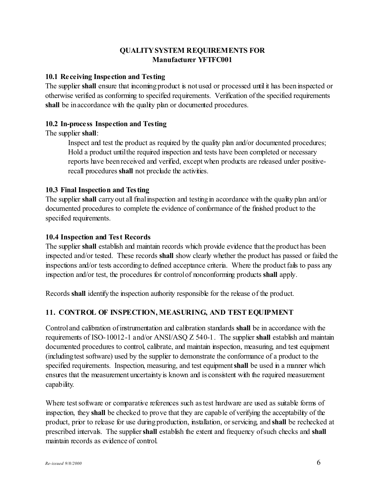### **10.1 Receiving Inspection and Testing**

The supplier **shall** ensure that incoming product is not used or processed until it has been inspected or otherwise verified as conforming to specified requirements. Verification of the specified requirements shall be in accordance with the quality plan or documented procedures.

## **10.2 In-process Inspection and Testing**

The supplier **shall**:

Inspect and test the product as required by the quality plan and/or documented procedures; " Hold a product until the required inspection and tests have been completed or necessary reports have been received and verified, except when products are released under positiverecall procedures **shall** not preclude the activities.

### **10.3 Final Inspection and Testing**

The supplier **shall** carry out all final inspection and testing in accordance with the quality plan and/or documented procedures to complete the evidence of conformance of the finished product to the specified requirements.

### **10.4 Inspection and Test Records**

The supplier **shall** establish and maintain records which provide evidence that the product has been inspected and/or tested. These records **shall** show clearly whether the product has passed or failed the inspections and/or tests according to defined acceptance criteria. Where the product fails to pass any inspection and/or test, the procedures for control of nonconforming products **shall** apply.

Records **shall** identify the inspection authority responsible for the release of the product.

## **11. CONTROL OF INSPECTION, MEASURING, AND TEST EQUIPMENT**

Control and calibration of instrumentation and calibration standards **shall** be in accordance with the requirements of ISO-10012-1 and/or ANSI/ASQ Z 540-1. The supplier **shall** establish and maintain documented procedures to control, calibrate, and maintain inspection, measuring, and test equipment (including test software) used by the supplier to demonstrate the conformance of a product to the specified requirements. Inspection, measuring, and test equipment **shall** be used in a manner which ensures that the measurement uncertainty is known and is consistent with the required measurement capability.

Where test software or comparative references such as test hardware are used as suitable forms of inspection, they **shall** be checked to prove that they are capable of verifying the acceptability of the product, prior to release for use during production, installation, or servicing, and **shall** be rechecked at prescribed intervals. The supplier **shall** establish the extent and frequency of such checks and **shall** maintain records as evidence of control.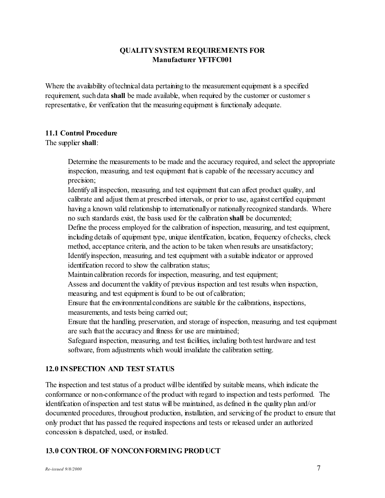Where the availability of technical data pertaining to the measurement equipment is a specified requirement, such data **shall** be made available, when required by the customer or customer s representative, for verification that the measuring equipment is functionally adequate.

### **11.1 Control Procedure**

### The supplier **shall**:

Determine the measurements to be made and the accuracy required, and select the appropriate inspection, measuring, and test equipment that is capable of the necessary accuracy and precision;

Identify all inspection, measuring, and test equipment that can affect product quality, and calibrate and adjust them at prescribed intervals, or prior to use, against certified equipment having a known valid relationship to internationally or nationally recognized standards. Where no such standards exist, the basis used for the calibration **shall** be documented;

Define the process employed for the calibration of inspection, measuring, and test equipment, including details of equipment type, unique identification, location, frequency of checks, check method, acceptance criteria, and the action to be taken when results are unsatisfactory;

Identify inspection, measuring, and test equipment with a suitable indicator or approved identification record to show the calibration status;

Maintain calibration records for inspection, measuring, and test equipment;

Assess and document the validity of previous inspection and test results when inspection, measuring, and test equipment is found to be out of calibration;

Ensure that the environmental conditions are suitable for the calibrations, inspections, measurements, and tests being carried out;

Ensure that the handling, preservation, and storage of inspection, measuring, and test equipment are such that the accuracy and fitness for use are maintained;

Safeguard inspection, measuring, and test facilities, including both test hardware and test software, from adjustments which would invalidate the calibration setting.

## **12.0 INSPECTION AND TEST STATUS**

The inspection and test status of a product will be identified by suitable means, which indicate the conformance or non-conformance of the product with regard to inspection and tests performed. The identification of inspection and test status will be maintained, as defined in the quality plan and/or documented procedures, throughout production, installation, and servicing of the product to ensure that only product that has passed the required inspections and tests or released under an authorized concession is dispatched, used, or installed.

## **13.0 CONTROL OF NONCONFORMING PRODUCT**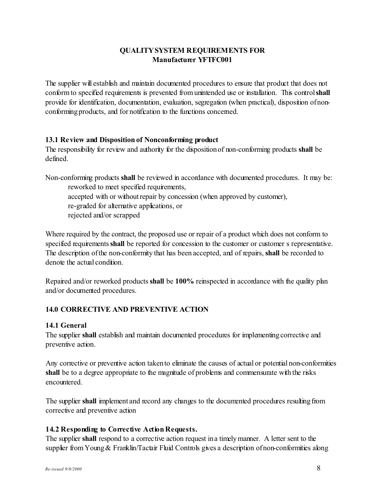The supplier will establish and maintain documented procedures to ensure that product that does not conform to specified requirements is prevented from unintended use or installation. This control**shall** provide for identification, documentation, evaluation, segregation (when practical), disposition of nonconforming products, and for notification to the functions concerned.

### **13.1 Review and Disposition of Nonconforming product**

The responsibility for review and authority for the disposition of non-conforming products **shall** be defined.

Non-conforming products shall be reviewed in accordance with documented procedures. It may be: reworked to meet specified requirements, accepted with or without repair by concession (when approved by customer), re-graded for alternative applications, or rejected and/or scrapped

Where required by the contract, the proposed use or repair of a product which does not conform to specified requirements **shall** be reported for concession to the customer or customer s representative. The description of the non-conformity that has been accepted, and of repairs, **shall** be recorded to denote the actual condition.

Repaired and/or reworked products **shall** be **100%** reinspected in accordance with the quality plan and/or documented procedures.

# **14.0 CORRECTIVE AND PREVENTIVE ACTION**

## **14.1 General**

The supplier **shall** establish and maintain documented procedures for implementing corrective and preventive action.

Any corrective or preventive action taken to eliminate the causes of actual or potential non-conformities **shall** be to a degree appropriate to the magnitude of problems and commensurate with the risks encountered.

The supplier **shall** implement and record any changes to the documented procedures resulting from corrective and preventive action

## **14.2 Responding to Corrective Action Requests.**

The supplier **shall** respond to a corrective action request in a timely manner. A letter sent to the supplier from Young & Franklin/Tactair Fluid Controls gives a description of non-conformities along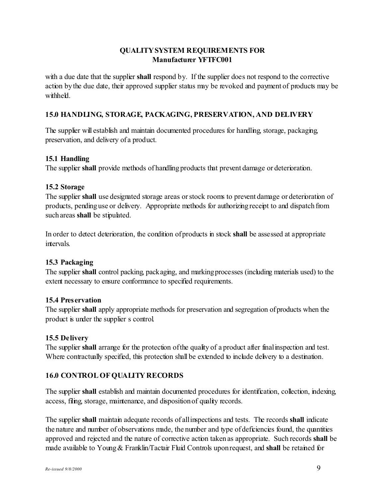with a due date that the supplier **shall** respond by. If the supplier does not respond to the corrective action by the due date, their approved supplier status may be revoked and payment of products may be withheld.

### **15.0 HANDLING, STORAGE, PACKAGING, PRESERVATION, AND DELIVERY**

The supplier will establish and maintain documented procedures for handling, storage, packaging, preservation, and delivery of a product.

### **15.1 Handling**

The supplier **shall** provide methods of handling products that prevent damage or deterioration.

### **15.2 Storage**

The supplier **shall** use designated storage areas or stock rooms to prevent damage or deterioration of products, pending use or delivery. Appropriate methods for authorizing receipt to and dispatch from such areas **shall** be stipulated.

In order to detect deterioration, the condition of products in stock **shall** be assessed at appropriate intervals.

### **15.3 Packaging**

The supplier **shall** control packing, packaging, and marking processes (including materials used) to the extent necessary to ensure conformance to specified requirements.

### **15.4 Preservation**

The supplier **shall** apply appropriate methods for preservation and segregation of products when the product is under the supplier s control.

### **15.5 Delivery**

The supplier **shall** arrange for the protection of the quality of a product after final inspection and test. Where contractually specified, this protection shall be extended to include delivery to a destination.

## **16.0 CONTROL OF QUALITY RECORDS**

The supplier **shall** establish and maintain documented procedures for identification, collection, indexing, access, filing, storage, maintenance, and disposition of quality records.

The supplier **shall** maintain adequate records of all inspections and tests. The records **shall** indicate the nature and number of observations made, the number and type of deficiencies found, the quantities approved and rejected and the nature of corrective action taken as appropriate. Such records **shall** be made available to Young & Franklin/Tactair Fluid Controls upon request, and **shall** be retained for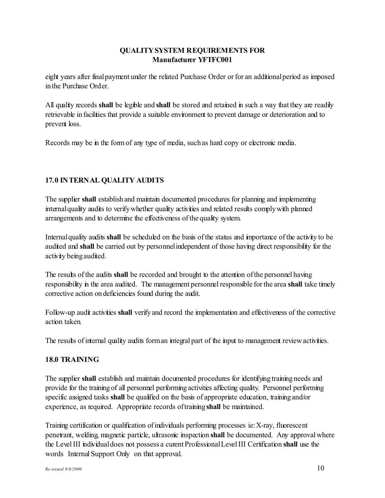eight years after final payment under the related Purchase Order or for an additional period as imposed in the Purchase Order.

All quality records **shall** be legible and **shall** be stored and retained in such a way that they are readily retrievable in facilities that provide a suitable environment to prevent damage or deterioration and to prevent loss.

Records may be in the form of any type of media, such as hard copy or electronic media.

# **17.0 INTERNAL QUALITY AUDITS**

The supplier **shall** establish and maintain documented procedures for planning and implementing internal quality audits to verify whether quality activities and related results comply with planned arrangements and to determine the effectiveness of the quality system.

Internal quality audits **shall** be scheduled on the basis of the status and importance of the activity to be audited and **shall** be carried out by personnel independent of those having direct responsibility for the activity being audited.

The results of the audits **shall** be recorded and brought to the attention of the personnel having responsibility in the area audited. The management personnel responsible for the area **shall** take timely corrective action on deficiencies found during the audit.

Follow-up audit activities **shall** verify and record the implementation and effectiveness of the corrective action taken.

The results of internal quality audits form an integral part of the input to management review activities.

# **18.0 TRAINING**

The supplier **shall** establish and maintain documented procedures for identifying training needs and provide for the training of all personnel performing activities affecting quality. Personnel performing specific assigned tasks **shall** be qualified on the basis of appropriate education, training and/or experience, as required. Appropriate records of training **shall** be maintained.

Training certification or qualification of individuals performing processes ie: X-ray, fluorescent penetrant, welding, magnetic particle, ultrasonic inspection **shall** be documented. Any approval where the Level III individual does not possess a curent Professional Level III Certification **shall** use the words Internal Support Only on that approval.